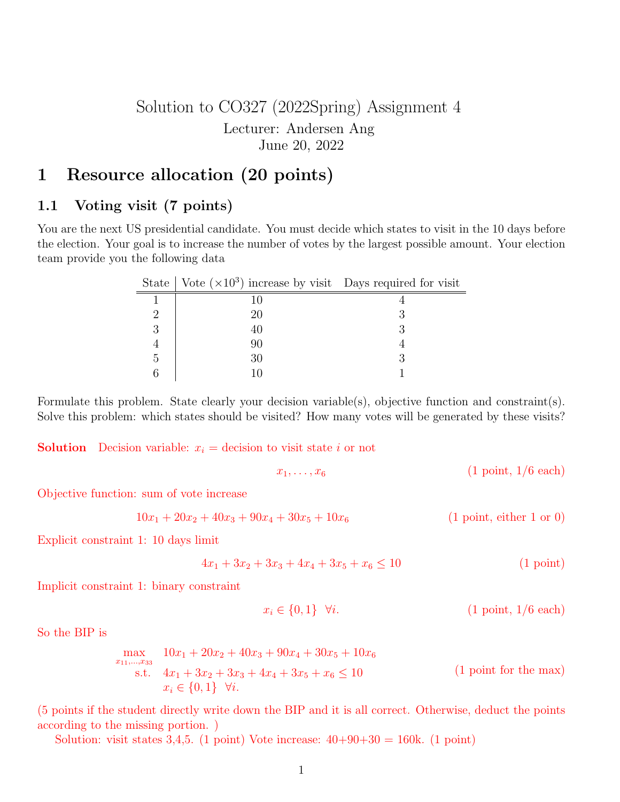## Solution to CO327 (2022Spring) Assignment 4 Lecturer: Andersen Ang June 20, 2022

# 1 Resource allocation (20 points)

### 1.1 Voting visit (7 points)

You are the next US presidential candidate. You must decide which states to visit in the 10 days before the election. Your goal is to increase the number of votes by the largest possible amount. Your election team provide you the following data

|   | State   Vote $(\times 10^3)$ increase by visit Days required for visit |  |
|---|------------------------------------------------------------------------|--|
|   |                                                                        |  |
|   | 20                                                                     |  |
| 3 |                                                                        |  |
|   | 90                                                                     |  |
| 5 | 30                                                                     |  |
|   |                                                                        |  |

Formulate this problem. State clearly your decision variable(s), objective function and constraint(s). Solve this problem: which states should be visited? How many votes will be generated by these visits?

**Solution** Decision variable:  $x_i$  = decision to visit state i or not

$$
x_1, \ldots, x_6 \qquad \qquad (1 \text{ point}, 1/6 \text{ each})
$$

Objective function: sum of vote increase

$$
10x_1 + 20x_2 + 40x_3 + 90x_4 + 30x_5 + 10x_6
$$
 (1 point, either 1 or 0)

Explicit constraint 1: 10 days limit

$$
4x_1 + 3x_2 + 3x_3 + 4x_4 + 3x_5 + x_6 \le 10
$$
\n(1 point)

Implicit constraint 1: binary constraint

$$
x_i \in \{0, 1\} \quad \forall i. \tag{1 point, 1/6 each}
$$

So the BIP is

$$
\max_{x_{11}, \dots, x_{33}} 10x_1 + 20x_2 + 40x_3 + 90x_4 + 30x_5 + 10x_6
$$
  
s.t.  $4x_1 + 3x_2 + 3x_3 + 4x_4 + 3x_5 + x_6 \le 10$  (1 point for the max)  
 $x_i \in \{0, 1\} \quad \forall i.$ 

(5 points if the student directly write down the BIP and it is all correct. Otherwise, deduct the points according to the missing portion. )

Solution: visit states 3,4,5. (1 point) Vote increase:  $40+90+30 = 160k$ . (1 point)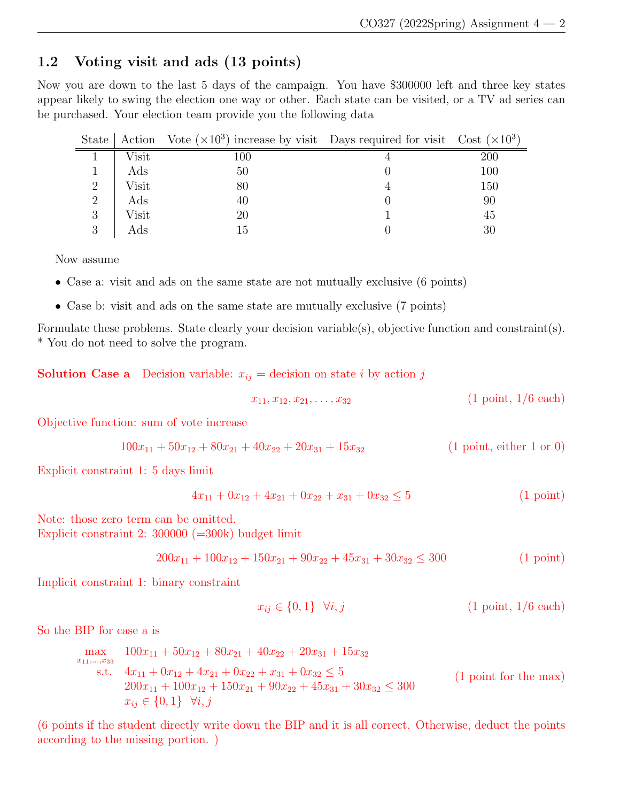### 1.2 Voting visit and ads (13 points)

Now you are down to the last 5 days of the campaign. You have \$300000 left and three key states appear likely to swing the election one way or other. Each state can be visited, or a TV ad series can be purchased. Your election team provide you the following data

|          |       | State   Action Vote $(\times 10^3)$ increase by visit Days required for visit Cost $(\times 10^3)$ |     |
|----------|-------|----------------------------------------------------------------------------------------------------|-----|
|          | Visit | 100                                                                                                | 200 |
|          | Ads   | 50                                                                                                 | 100 |
| 2        | Visit | 80                                                                                                 | 150 |
| 2        | Ads   | 40                                                                                                 | 90  |
| 3        | Visit | 20                                                                                                 | 45  |
| $\Omega$ | Ads   | Тb                                                                                                 |     |

Now assume

- Case a: visit and ads on the same state are not mutually exclusive (6 points)
- Case b: visit and ads on the same state are mutually exclusive (7 points)

Formulate these problems. State clearly your decision variable(s), objective function and constraint(s). \* You do not need to solve the program.

**Solution Case a** Decision variable:  $x_{ij}$  = decision on state i by action j

$$
x_{11}, x_{12}, x_{21}, \ldots, x_{32} \qquad (1 \text{ point}, 1/6 \text{ each})
$$

Objective function: sum of vote increase

$$
100x_{11} + 50x_{12} + 80x_{21} + 40x_{22} + 20x_{31} + 15x_{32}
$$
 (1 point, either 1 or 0)

Explicit constraint 1: 5 days limit

$$
4x_{11} + 0x_{12} + 4x_{21} + 0x_{22} + x_{31} + 0x_{32} \le 5
$$
\n(1 point)

Note: those zero term can be omitted. Explicit constraint 2: 300000 (=300k) budget limit

$$
200x_{11} + 100x_{12} + 150x_{21} + 90x_{22} + 45x_{31} + 30x_{32} \le 300
$$
 (1 point)

Implicit constraint 1: binary constraint

$$
x_{ij} \in \{0, 1\} \quad \forall i, j \tag{1 point, 1/6 each}
$$

So the BIP for case a is

$$
\max_{x_{11},\dots,x_{33}} 100x_{11} + 50x_{12} + 80x_{21} + 40x_{22} + 20x_{31} + 15x_{32}
$$
\n  
\n
$$
x_{11},\dots,x_{33}
$$
\n  
\n
$$
4x_{11} + 0x_{12} + 4x_{21} + 0x_{22} + x_{31} + 0x_{32} \le 5
$$
\n  
\n
$$
200x_{11} + 100x_{12} + 150x_{21} + 90x_{22} + 45x_{31} + 30x_{32} \le 300
$$
\n  
\n
$$
x_{ij} \in \{0,1\} \quad \forall i, j
$$
\n(1 point for the max)

(6 points if the student directly write down the BIP and it is all correct. Otherwise, deduct the points according to the missing portion. )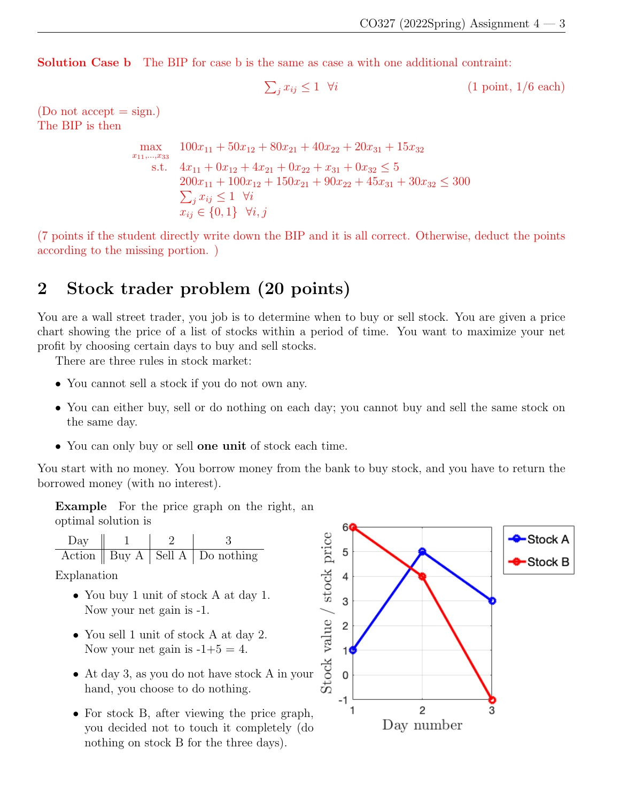Solution Case b The BIP for case b is the same as case a with one additional contraint:

$$
\sum_{j} x_{ij} \le 1 \quad \forall i \tag{1 point, 1/6 each}
$$

(Do not accept  $=$  sign.) The BIP is then

$$
\max_{x_{11}, \dots, x_{33}} 100x_{11} + 50x_{12} + 80x_{21} + 40x_{22} + 20x_{31} + 15x_{32}
$$
\n
$$
\text{s.t.} \quad 4x_{11} + 0x_{12} + 4x_{21} + 0x_{22} + x_{31} + 0x_{32} \le 5
$$
\n
$$
200x_{11} + 100x_{12} + 150x_{21} + 90x_{22} + 45x_{31} + 30x_{32} \le 300
$$
\n
$$
\sum_{j} x_{ij} \le 1 \quad \forall i
$$
\n
$$
x_{ij} \in \{0, 1\} \quad \forall i, j
$$

(7 points if the student directly write down the BIP and it is all correct. Otherwise, deduct the points according to the missing portion. )

# 2 Stock trader problem (20 points)

You are a wall street trader, you job is to determine when to buy or sell stock. You are given a price chart showing the price of a list of stocks within a period of time. You want to maximize your net profit by choosing certain days to buy and sell stocks.

There are three rules in stock market:

- You cannot sell a stock if you do not own any.
- You can either buy, sell or do nothing on each day; you cannot buy and sell the same stock on the same day.
- You can only buy or sell **one unit** of stock each time.

You start with no money. You borrow money from the bank to buy stock, and you have to return the borrowed money (with no interest).

Example For the price graph on the right, an optimal solution is

Day 1 2 3 Action Buy A Sell A Do nothing

Explanation

- You buy 1 unit of stock A at day 1. Now your net gain is -1.
- You sell 1 unit of stock A at day 2. Now your net gain is  $-1+5=4$ .
- At day 3, as you do not have stock A in your hand, you choose to do nothing.
- For stock B, after viewing the price graph, you decided not to touch it completely (do nothing on stock B for the three days).

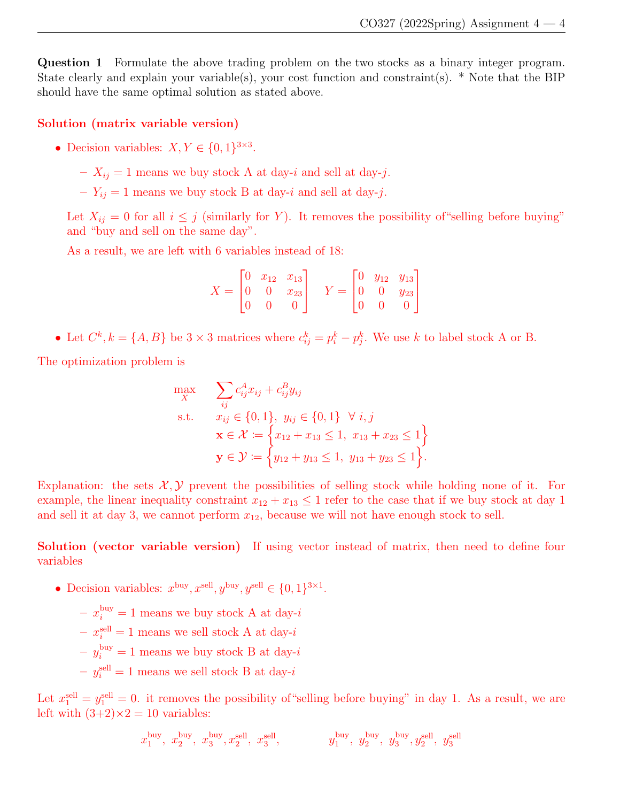Question 1 Formulate the above trading problem on the two stocks as a binary integer program. State clearly and explain your variable(s), your cost function and constraint(s). \* Note that the BIP should have the same optimal solution as stated above.

#### Solution (matrix variable version)

- Decision variables:  $X, Y \in \{0, 1\}^{3 \times 3}$ .
	- $X_{ij} = 1$  means we buy stock A at day-*i* and sell at day-*j*.
	- $Y_{ij} = 1$  means we buy stock B at day-*i* and sell at day-*j*.

Let  $X_{ij} = 0$  for all  $i \leq j$  (similarly for Y). It removes the possibility of "selling before buying" and "buy and sell on the same day".

As a result, we are left with 6 variables instead of 18:

$$
X = \begin{bmatrix} 0 & x_{12} & x_{13} \\ 0 & 0 & x_{23} \\ 0 & 0 & 0 \end{bmatrix} \quad Y = \begin{bmatrix} 0 & y_{12} & y_{13} \\ 0 & 0 & y_{23} \\ 0 & 0 & 0 \end{bmatrix}
$$

• Let  $C^k$ ,  $k = \{A, B\}$  be  $3 \times 3$  matrices where  $c_{ij}^k = p_i^k - p_j^k$ . We use k to label stock A or B.

The optimization problem is

$$
\max_{X} \quad \sum_{ij} c_{ij}^{A} x_{ij} + c_{ij}^{B} y_{ij}
$$
\n
$$
\text{s.t.} \quad x_{ij} \in \{0, 1\}, \ y_{ij} \in \{0, 1\} \ \forall \ i, j
$$
\n
$$
\mathbf{x} \in \mathcal{X} := \left\{ x_{12} + x_{13} \le 1, \ x_{13} + x_{23} \le 1 \right\}
$$
\n
$$
\mathbf{y} \in \mathcal{Y} := \left\{ y_{12} + y_{13} \le 1, \ y_{13} + y_{23} \le 1 \right\}.
$$

Explanation: the sets  $\mathcal{X}, \mathcal{Y}$  prevent the possibilities of selling stock while holding none of it. For example, the linear inequality constraint  $x_{12} + x_{13} \leq 1$  refer to the case that if we buy stock at day 1 and sell it at day 3, we cannot perform  $x_{12}$ , because we will not have enough stock to sell.

Solution (vector variable version) If using vector instead of matrix, then need to define four variables

- Decision variables:  $x^{\text{buy}}, x^{\text{sell}}, y^{\text{buy}}, y^{\text{sell}} \in \{0, 1\}^{3 \times 1}$ .
	- $x_i^{\text{buy}} = 1$  means we buy stock A at day-*i*
	- $x_i^{\text{sell}} = 1$  means we sell stock A at day-*i*
	- $-y_i^{\text{buy}} = 1$  means we buy stock B at day-*i*
	- $y_i^{\text{sell}} = 1$  means we sell stock B at day-*i*

Let  $x_1^{\text{sell}} = y_1^{\text{sell}} = 0$ . it removes the possibility of "selling before buying" in day 1. As a result, we are left with  $(3+2) \times 2 = 10$  variables:

$$
x_1^{\rm buy},\ x_2^{\rm buy},\ x_3^{\rm buy},x_2^{\rm sell},\ x_3^{\rm sell}, \qquad \qquad y_1^{\rm buy},\ y_2^{\rm buy},\ y_3^{\rm bull},\ y_3^{\rm sell},\ y_3^{\rm sell}
$$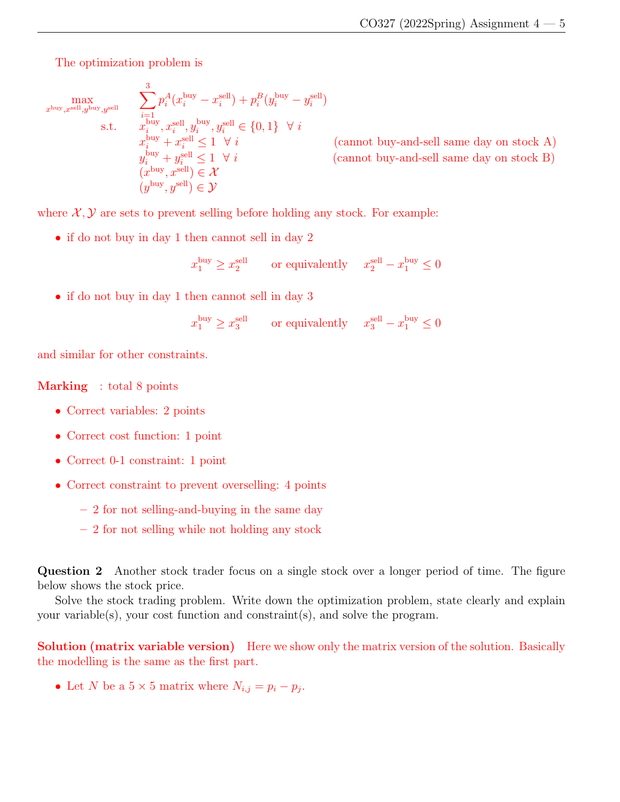The optimization problem is

$$
\max_{x^{\text{buy}},x^{\text{sell}},y^{\text{buy}},y^{\text{sell}}}\n\sum_{i=1}^{3} p_i^A(x_i^{\text{buy}} - x_i^{\text{sell}}) + p_i^B(y_i^{\text{buy}} - y_i^{\text{sell}})\n\text{s.t.}\n\sum_{x_i^{\text{buy}},x_i^{\text{sell}},y_i^{\text{buy}},y_i^{\text{sell}} \in \{0,1\} \quad \forall i\n\sum_{x_i^{\text{buy}} + x_i^{\text{sell}} \le 1 \quad \forall i}\n\sum_{y_i^{\text{buy}} + y_i^{\text{sell}} \le 1 \quad \forall i\n\sum_{(c\text{annot buy-and-sell same day on stock B})}\n(x^{\text{buy}},x^{\text{sell}}) \in \mathcal{X}\n\sum_{(y^{\text{buy}},y^{\text{sell}}) \in \mathcal{Y}\n\sum_{y^{\text{sell}} + y_i^{\text{sell}} \in \mathcal{Y}\n\sum_{y^{\text{sell}} + y_i^{\text{sell}} \in \mathcal{Y}\n\sum_{y^{\text{sell}} + y_i^{\text{sell}} \in \mathcal{Y}\n\sum_{y^{\text{sell}} + y_i^{\text{sell}} \in \mathcal{Y}\n\sum_{y^{\text{sell}} + y_i^{\text{sell}} \in \mathcal{Y}\n\sum_{y^{\text{sell}} + y_i^{\text{sell}} \in \mathcal{Y}\n\sum_{y^{\text{sell}} + y_i^{\text{sell}} \in \mathcal{Y}\n\sum_{y^{\text{sell}} + y_i^{\text{sell}} \in \mathcal{Y}\n\sum_{y^{\text{sell}} + y_i^{\text{sell}} \in \mathcal{Y}\n\sum_{y^{\text{sell}} + y_i^{\text{sell}} \in \mathcal{Y}\n\sum_{y^{\text{sell}} + y_i^{\text{sell}} \in \mathcal{Y}\n\sum_{y^{\text{sell}} + y_i^{\text{sell}} \in \mathcal{Y}\n\sum_{y^{\text{sell}} + y_i^{\text{sell}} \in \mathcal{Y}\n\sum_{y^{\text{sell}} + y_i^{\text{sell}} \in \mathcal{Y}\n\sum_{y^{\text{sell}} + y_i^{\text{sell}} \in \mathcal{Y}\n\sum_{y^{\text{sell}} + y_i^{\text{sell}} \in \mathcal{Y}\n\sum_{y^{\text{sell}} + y_i^{\text{sell}} \in \mathcal{Y}\n\sum_{y
$$

where  $\mathcal{X}, \mathcal{Y}$  are sets to prevent selling before holding any stock. For example:

• if do not buy in day 1 then cannot sell in day 2

$$
x_1^{\text{buy}} \ge x_2^{\text{sell}} \qquad \text{or equivalently} \quad \ x_2^{\text{sell}} - x_1^{\text{buy}} \le 0
$$

• if do not buy in day 1 then cannot sell in day 3

$$
x_1^{\text{buy}} \ge x_3^{\text{sell}}
$$
 or equivalently  $x_3^{\text{sell}} - x_1^{\text{buy}} \le 0$ 

and similar for other constraints.

#### Marking : total 8 points

- Correct variables: 2 points
- Correct cost function: 1 point
- Correct 0-1 constraint: 1 point
- Correct constraint to prevent overselling: 4 points
	- 2 for not selling-and-buying in the same day
	- 2 for not selling while not holding any stock

Question 2 Another stock trader focus on a single stock over a longer period of time. The figure below shows the stock price.

Solve the stock trading problem. Write down the optimization problem, state clearly and explain your variable(s), your cost function and constraint(s), and solve the program.

**Solution (matrix variable version)** Here we show only the matrix version of the solution. Basically the modelling is the same as the first part.

• Let N be a  $5 \times 5$  matrix where  $N_{i,j} = p_i - p_j$ .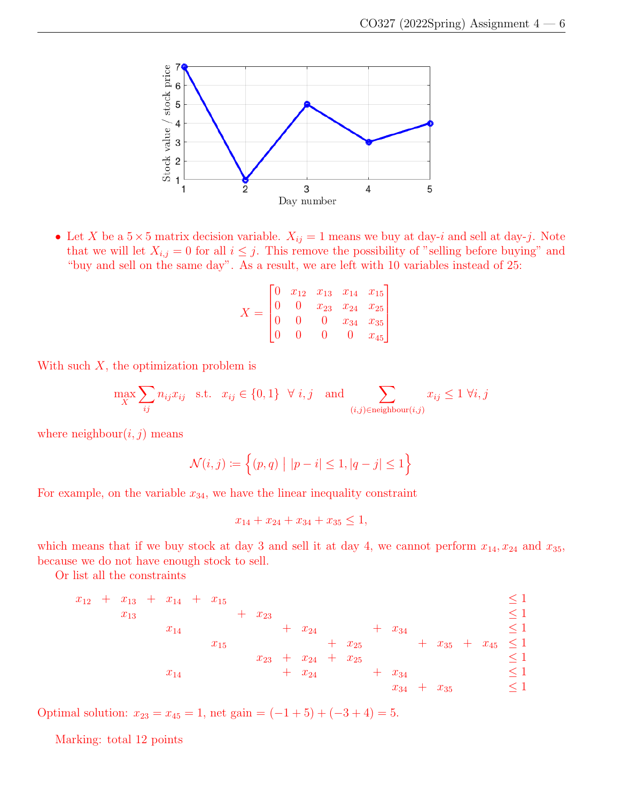

• Let X be a  $5 \times 5$  matrix decision variable.  $X_{ij} = 1$  means we buy at day-i and sell at day-j. Note that we will let  $X_{i,j} = 0$  for all  $i \leq j$ . This remove the possibility of "selling before buying" and "buy and sell on the same day". As a result, we are left with 10 variables instead of 25:

$$
X = \begin{bmatrix} 0 & x_{12} & x_{13} & x_{14} & x_{15} \\ 0 & 0 & x_{23} & x_{24} & x_{25} \\ 0 & 0 & 0 & x_{34} & x_{35} \\ 0 & 0 & 0 & 0 & x_{45} \end{bmatrix}
$$

With such  $X$ , the optimization problem is

$$
\max_{X} \sum_{ij} n_{ij} x_{ij} \quad \text{s.t.} \quad x_{ij} \in \{0, 1\} \quad \forall \ i, j \quad \text{and} \sum_{(i,j) \in \text{neighbor}(i,j)} x_{ij} \le 1 \ \forall i, j
$$

where neighbour $(i, j)$  means

$$
\mathcal{N}(i,j) := \left\{ (p,q) \mid |p-i| \le 1, |q-j| \le 1 \right\}
$$

For example, on the variable  $x_{34}$ , we have the linear inequality constraint

$$
x_{14} + x_{24} + x_{34} + x_{35} \le 1,
$$

which means that if we buy stock at day 3 and sell it at day 4, we cannot perform  $x_{14}, x_{24}$  and  $x_{35}$ , because we do not have enough stock to sell.

Or list all the constraints

$$
x_{12} + x_{13} + x_{14} + x_{15} + x_{23} + x_{24} + x_{34} \le 1
$$
  
\n
$$
x_{14} + x_{15} + x_{24} + x_{34} + x_{35} + x_{45} \le 1
$$
  
\n
$$
x_{14} + x_{24} + x_{25} + x_{34} \le 1
$$
  
\n
$$
x_{14} + x_{24} + x_{35} \le 1
$$
  
\n
$$
x_{14} + x_{24} + x_{34} \le 1
$$
  
\n
$$
x_{34} + x_{35} \le 1
$$

Optimal solution:  $x_{23} = x_{45} = 1$ , net gain =  $(-1+5)+(-3+4) = 5$ .

Marking: total 12 points